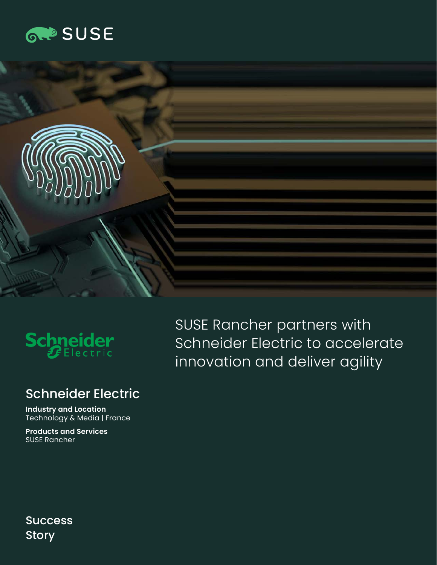





## Schneider Electric

**Industry and Location** Technology & Media | France

**Products and Services** SUSE Rancher

SUSE Rancher partners with Schneider Electric to accelerate innovation and deliver agility

**Success Story**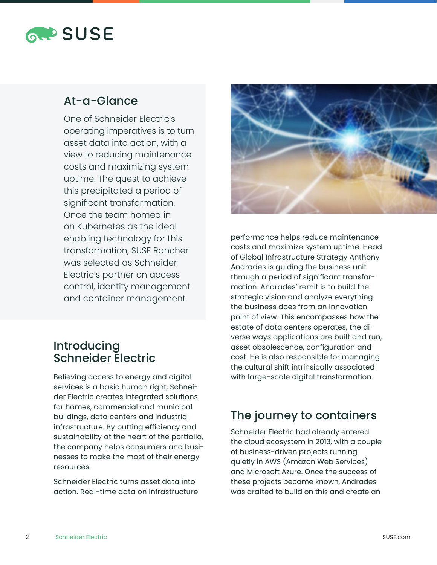# **RAPSUSE**

#### At-a-Glance

One of Schneider Electric's operating imperatives is to turn asset data into action, with a view to reducing maintenance costs and maximizing system uptime. The quest to achieve this precipitated a period of significant transformation. Once the team homed in on Kubernetes as the ideal enabling technology for this transformation, SUSE Rancher was selected as Schneider Electric's partner on access control, identity management and container management.

#### Introducing Schneider Electric

Believing access to energy and digital services is a basic human right, Schneider Electric creates integrated solutions for homes, commercial and municipal buildings, data centers and industrial infrastructure. By putting efficiency and sustainability at the heart of the portfolio, the company helps consumers and businesses to make the most of their energy resources.

Schneider Electric turns asset data into action. Real-time data on infrastructure



performance helps reduce maintenance costs and maximize system uptime. Head of Global Infrastructure Strategy Anthony Andrades is guiding the business unit through a period of significant transformation. Andrades' remit is to build the strategic vision and analyze everything the business does from an innovation point of view. This encompasses how the estate of data centers operates, the diverse ways applications are built and run, asset obsolescence, configuration and cost. He is also responsible for managing the cultural shift intrinsically associated with large-scale digital transformation.

### The journey to containers

Schneider Electric had already entered the cloud ecosystem in 2013, with a couple of business-driven projects running quietly in AWS (Amazon Web Services) and Microsoft Azure. Once the success of these projects became known, Andrades was drafted to build on this and create an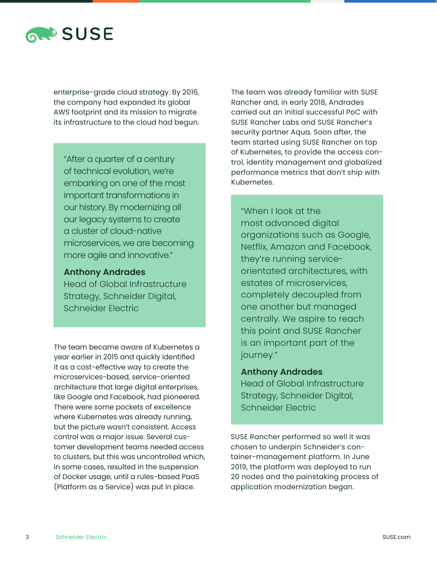

enterprise-grade cloud strategy. By 2016, the company had expanded its global AWS footprint and its mission to migrate its infrastructure to the cloud had begun.

"After a quarter of a century of technical evolution, we're embarking on one of the most important transformations in our history. By modernizing all our legacy systems to create a cluster of cloud-native microservices, we are becoming more agile and innovative."

#### **Anthony Andrades**

Head of Global Infrastructure Strategy, Schneider Digital, Schneider Electric

The team became aware of Kubernetes a year earlier in 2015 and quickly identified it as a cost-effective way to create the microservices-based, service-oriented architecture that large digital enterprises, like Google and Facebook, had pioneered. There were some pockets of excellence where Kubernetes was already running, but the picture wasn't consistent. Access control was a major issue. Several customer development teams needed access to clusters, but this was uncontrolled which, in some cases, resulted in the suspension of Docker usage, until a rules-based PaaS (Platform as a Service) was put in place.

The team was already familiar with SUSE Rancher and, in early 2018, Andrades carried out an initial successful PoC with SUSE Rancher Labs and SUSE Rancher's security partner Aqua. Soon after, the team started using SUSE Rancher on top of Kubernetes, to provide the access control, identity management and globalized performance metrics that don't ship with Kubernetes.

"When I look at the most advanced digital organizations such as Google, Netflix, Amazon and Facebook, they're running serviceorientated architectures, with estates of microservices, completely decoupled from one another but managed centrally. We aspire to reach this point and SUSE Rancher is an important part of the journey."

#### **Anthony Andrades**

Head of Global Infrastructure Strategy, Schneider Digital, Schneider Electric

SUSE Rancher performed so well it was chosen to underpin Schneider's container-management platform. In June 2019, the platform was deployed to run 20 nodes and the painstaking process of application modernization began.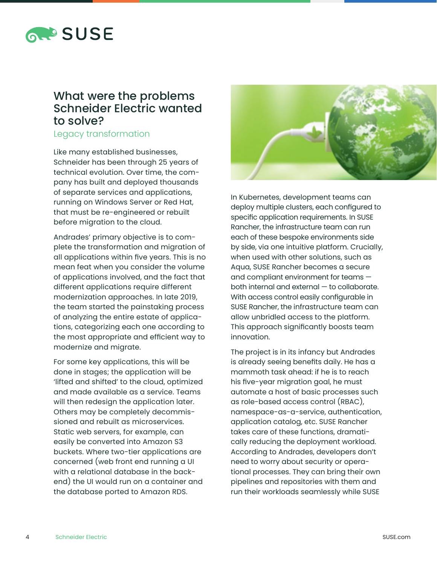

#### What were the problems Schneider Electric wanted to solve?

Legacy transformation

Like many established businesses, Schneider has been through 25 years of technical evolution. Over time, the company has built and deployed thousands of separate services and applications, running on Windows Server or Red Hat, that must be re-engineered or rebuilt before migration to the cloud.

Andrades' primary objective is to complete the transformation and migration of all applications within five years. This is no mean feat when you consider the volume of applications involved, and the fact that different applications require different modernization approaches. In late 2019, the team started the painstaking process of analyzing the entire estate of applications, categorizing each one according to the most appropriate and efficient way to modernize and migrate.

For some key applications, this will be done in stages; the application will be 'lifted and shifted' to the cloud, optimized and made available as a service. Teams will then redesign the application later. Others may be completely decommissioned and rebuilt as microservices. Static web servers, for example, can easily be converted into Amazon S3 buckets. Where two-tier applications are concerned (web front end running a UI with a relational database in the backend) the UI would run on a container and the database ported to Amazon RDS.



In Kubernetes, development teams can deploy multiple clusters, each configured to specific application requirements. In SUSE Rancher, the infrastructure team can run each of these bespoke environments side by side, via one intuitive platform. Crucially, when used with other solutions, such as Aqua, SUSE Rancher becomes a secure and compliant environment for teams both internal and external — to collaborate. With access control easily configurable in SUSE Rancher, the infrastructure team can allow unbridled access to the platform. This approach significantly boosts team innovation.

The project is in its infancy but Andrades is already seeing benefits daily. He has a mammoth task ahead: if he is to reach his five-year migration goal, he must automate a host of basic processes such as role-based access control (RBAC), namespace-as-a-service, authentication, application catalog, etc. SUSE Rancher takes care of these functions, dramatically reducing the deployment workload. According to Andrades, developers don't need to worry about security or operational processes. They can bring their own pipelines and repositories with them and run their workloads seamlessly while SUSE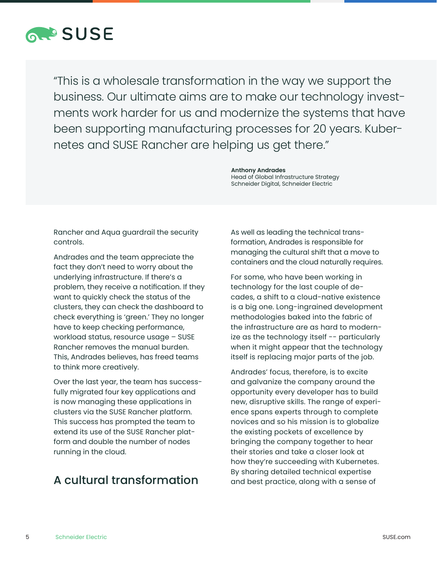

"This is a wholesale transformation in the way we support the business. Our ultimate aims are to make our technology investments work harder for us and modernize the systems that have been supporting manufacturing processes for 20 years. Kubernetes and SUSE Rancher are helping us get there."

> **Anthony Andrades** Head of Global Infrastructure Strategy Schneider Digital, Schneider Electric

Rancher and Aqua guardrail the security controls.

Andrades and the team appreciate the fact they don't need to worry about the underlying infrastructure. If there's a problem, they receive a notification. If they want to quickly check the status of the clusters, they can check the dashboard to check everything is 'green.' They no longer have to keep checking performance, workload status, resource usage – SUSE Rancher removes the manual burden. This, Andrades believes, has freed teams to think more creatively.

Over the last year, the team has successfully migrated four key applications and is now managing these applications in clusters via the SUSE Rancher platform. This success has prompted the team to extend its use of the SUSE Rancher platform and double the number of nodes running in the cloud.

#### A cultural transformation

As well as leading the technical transformation, Andrades is responsible for managing the cultural shift that a move to containers and the cloud naturally requires.

For some, who have been working in technology for the last couple of decades, a shift to a cloud-native existence is a big one. Long-ingrained development methodologies baked into the fabric of the infrastructure are as hard to modernize as the technology itself -- particularly when it might appear that the technology itself is replacing major parts of the job.

Andrades' focus, therefore, is to excite and galvanize the company around the opportunity every developer has to build new, disruptive skills. The range of experience spans experts through to complete novices and so his mission is to globalize the existing pockets of excellence by bringing the company together to hear their stories and take a closer look at how they're succeeding with Kubernetes. By sharing detailed technical expertise and best practice, along with a sense of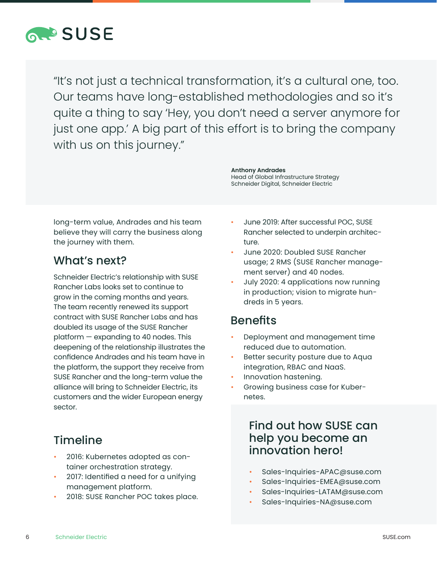

"It's not just a technical transformation, it's a cultural one, too. Our teams have long-established methodologies and so it's quite a thing to say 'Hey, you don't need a server anymore for just one app.' A big part of this effort is to bring the company with us on this journey."

> Head of Global Infrastructure Strategy Schneider Digital, Schneider Electric

**Anthony Andrades**

long-term value, Andrades and his team believe they will carry the business along the journey with them.

#### What's next?

Schneider Electric's relationship with SUSE Rancher Labs looks set to continue to grow in the coming months and years. The team recently renewed its support contract with SUSE Rancher Labs and has doubled its usage of the SUSE Rancher platform — expanding to 40 nodes. This deepening of the relationship illustrates the confidence Andrades and his team have in the platform, the support they receive from SUSE Rancher and the long-term value the alliance will bring to Schneider Electric, its customers and the wider European energy sector.

#### Timeline

- 2016: Kubernetes adopted as container orchestration strategy.
- 2017: Identified a need for a unifying management platform.
- 2018: SUSE Rancher POC takes place.
- June 2019: After successful POC, SUSE Rancher selected to underpin architecture.
- June 2020: Doubled SUSE Rancher usage; 2 RMS (SUSE Rancher management server) and 40 nodes.
- July 2020: 4 applications now running in production; vision to migrate hundreds in 5 years.

#### Benefits

- Deployment and management time reduced due to automation.
- Better security posture due to Aqua integration, RBAC and NaaS.
- Innovation hastening.
- Growing business case for Kubernetes.

#### Find out how SUSE can help you become an innovation hero!

- Sales-Inquiries-APAC@suse.com
- Sales-Inquiries-EMEA@suse.com
- Sales-Inquiries-LATAM@suse.com
- Sales-Inquiries-NA@suse.com